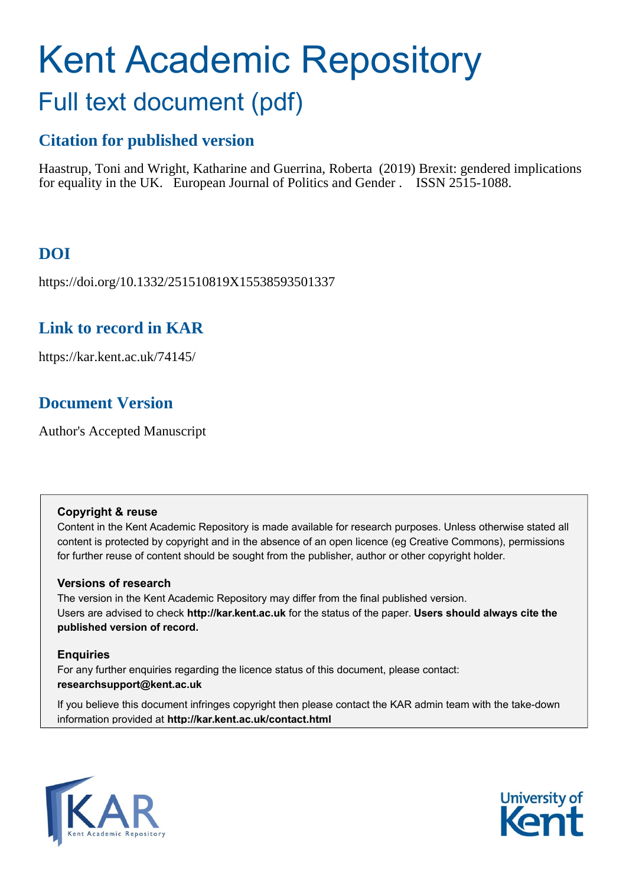# Kent Academic Repository Full text document (pdf)

## **Citation for published version**

Haastrup, Toni and Wright, Katharine and Guerrina, Roberta (2019) Brexit: gendered implications for equality in the UK. European Journal of Politics and Gender . ISSN 2515-1088.

## **DOI**

https://doi.org/10.1332/251510819X15538593501337

### **Link to record in KAR**

https://kar.kent.ac.uk/74145/

## **Document Version**

Author's Accepted Manuscript

#### **Copyright & reuse**

Content in the Kent Academic Repository is made available for research purposes. Unless otherwise stated all content is protected by copyright and in the absence of an open licence (eg Creative Commons), permissions for further reuse of content should be sought from the publisher, author or other copyright holder.

#### **Versions of research**

The version in the Kent Academic Repository may differ from the final published version. Users are advised to check **http://kar.kent.ac.uk** for the status of the paper. **Users should always cite the published version of record.**

#### **Enquiries**

For any further enquiries regarding the licence status of this document, please contact: **researchsupport@kent.ac.uk**

If you believe this document infringes copyright then please contact the KAR admin team with the take-down information provided at **http://kar.kent.ac.uk/contact.html**



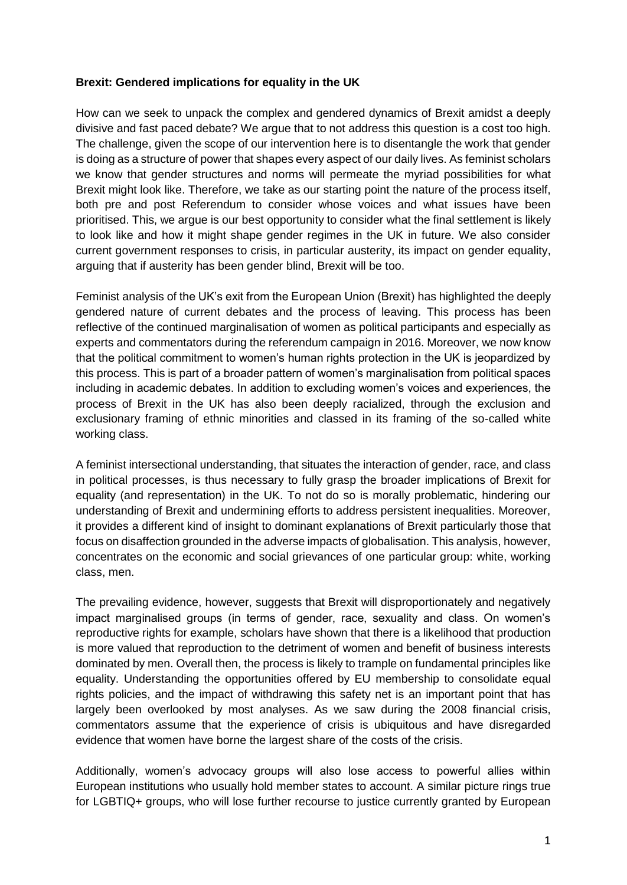#### **Brexit: Gendered implications for equality in the UK**

How can we seek to unpack the complex and gendered dynamics of Brexit amidst a deeply divisive and fast paced debate? We argue that to not address this question is a cost too high. The challenge, given the scope of our intervention here is to disentangle the work that gender is doing as a structure of power that shapes every aspect of our daily lives. As feminist scholars we know that gender structures and norms will permeate the myriad possibilities for what Brexit might look like. Therefore, we take as our starting point the nature of the process itself, both pre and post Referendum to consider whose voices and what issues have been prioritised. This, we argue is our best opportunity to consider what the final settlement is likely to look like and how it might shape gender regimes in the UK in future. We also consider current government responses to crisis, in particular austerity, its impact on gender equality, arguing that if austerity has been gender blind, Brexit will be too.

Feminist analysis of the UK's exit from the European Union (Brexit) has highlighted the deeply gendered nature of current debates and the process of leaving. This process has been reflective of the continued marginalisation of women as political participants and especially as experts and commentators during the referendum campaign in 2016. Moreover, we now know that the political commitment to women's human rights protection in the UK is jeopardized by this process. This is part of a broader pattern of women's marginalisation from political spaces including in academic debates. In addition to excluding women's voices and experiences, the process of Brexit in the UK has also been deeply racialized, through the exclusion and exclusionary framing of ethnic minorities and classed in its framing of the so-called white working class.

A feminist intersectional understanding, that situates the interaction of gender, race, and class in political processes, is thus necessary to fully grasp the broader implications of Brexit for equality (and representation) in the UK. To not do so is morally problematic, hindering our understanding of Brexit and undermining efforts to address persistent inequalities. Moreover, it provides a different kind of insight to dominant explanations of Brexit particularly those that focus on disaffection grounded in the adverse impacts of globalisation. This analysis, however, concentrates on the economic and social grievances of one particular group: white, working class, men.

The prevailing evidence, however, suggests that Brexit will disproportionately and negatively impact marginalised groups (in terms of gender, race, sexuality and class. On women's reproductive rights for example, scholars have shown that there is a likelihood that production is more valued that reproduction to the detriment of women and benefit of business interests dominated by men. Overall then, the process is likely to trample on fundamental principles like equality. Understanding the opportunities offered by EU membership to consolidate equal rights policies, and the impact of withdrawing this safety net is an important point that has largely been overlooked by most analyses. As we saw during the 2008 financial crisis, commentators assume that the experience of crisis is ubiquitous and have disregarded evidence that women have borne the largest share of the costs of the crisis.

Additionally, women's advocacy groups will also lose access to powerful allies within European institutions who usually hold member states to account. A similar picture rings true for LGBTIQ+ groups, who will lose further recourse to justice currently granted by European